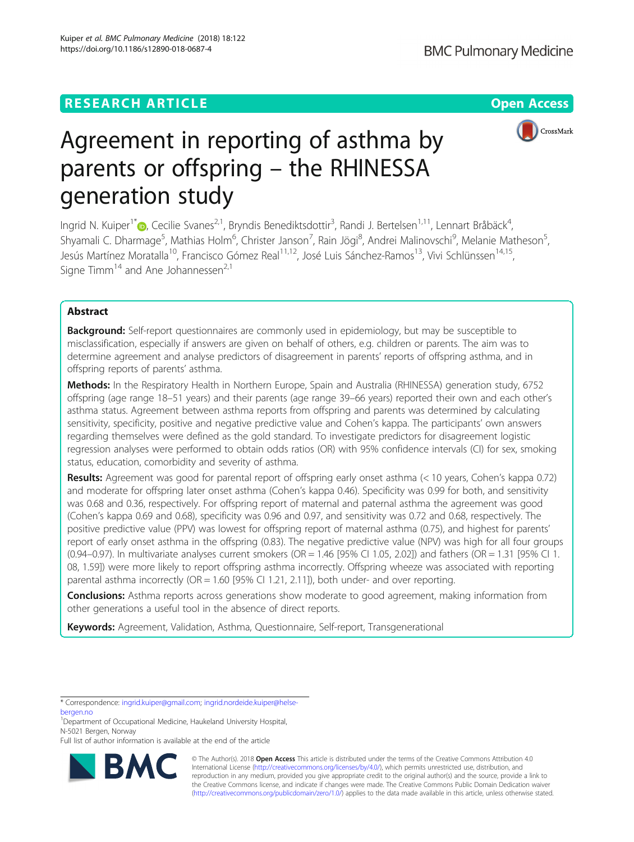## **RESEARCH ARTICLE Example 2018 12:30 THE Open Access**



# Agreement in reporting of asthma by parents or offspring – the RHINESSA generation study

Ingrid N. Kuiper<sup>1\*</sup>®[,](http://orcid.org/0000-0002-9495-0327) Cecilie Svanes<sup>2,1</sup>, Bryndis Benediktsdottir<sup>3</sup>, Randi J. Bertelsen<sup>1,11</sup>, Lennart Bråbäck<sup>4</sup> , Shyamali C. Dharmage<sup>5</sup>, Mathias Holm<sup>6</sup>, Christer Janson<sup>7</sup>, Rain Jögi<sup>8</sup>, Andrei Malinovschi<sup>9</sup>, Melanie Matheson<sup>5</sup> , Jesús Martínez Moratalla<sup>10</sup>, Francisco Gómez Real<sup>11,12</sup>, José Luis Sánchez-Ramos<sup>13</sup>, Vivi Schlünssen<sup>14,15</sup>, Signe Timm<sup>14</sup> and Ane Johannessen<sup>2,1</sup>

## Abstract

**Background:** Self-report questionnaires are commonly used in epidemiology, but may be susceptible to misclassification, especially if answers are given on behalf of others, e.g. children or parents. The aim was to determine agreement and analyse predictors of disagreement in parents' reports of offspring asthma, and in offspring reports of parents' asthma.

Methods: In the Respiratory Health in Northern Europe, Spain and Australia (RHINESSA) generation study, 6752 offspring (age range 18–51 years) and their parents (age range 39–66 years) reported their own and each other's asthma status. Agreement between asthma reports from offspring and parents was determined by calculating sensitivity, specificity, positive and negative predictive value and Cohen's kappa. The participants' own answers regarding themselves were defined as the gold standard. To investigate predictors for disagreement logistic regression analyses were performed to obtain odds ratios (OR) with 95% confidence intervals (CI) for sex, smoking status, education, comorbidity and severity of asthma.

Results: Agreement was good for parental report of offspring early onset asthma (< 10 years, Cohen's kappa 0.72) and moderate for offspring later onset asthma (Cohen's kappa 0.46). Specificity was 0.99 for both, and sensitivity was 0.68 and 0.36, respectively. For offspring report of maternal and paternal asthma the agreement was good (Cohen's kappa 0.69 and 0.68), specificity was 0.96 and 0.97, and sensitivity was 0.72 and 0.68, respectively. The positive predictive value (PPV) was lowest for offspring report of maternal asthma (0.75), and highest for parents' report of early onset asthma in the offspring (0.83). The negative predictive value (NPV) was high for all four groups (0.94–0.97). In multivariate analyses current smokers (OR = 1.46 [95% CI 1.05, 2.02]) and fathers (OR = 1.31 [95% CI 1. 08, 1.59]) were more likely to report offspring asthma incorrectly. Offspring wheeze was associated with reporting parental asthma incorrectly (OR = 1.60 [95% CI 1.21, 2.11]), both under- and over reporting.

**Conclusions:** Asthma reports across generations show moderate to good agreement, making information from other generations a useful tool in the absence of direct reports.

Keywords: Agreement, Validation, Asthma, Questionnaire, Self-report, Transgenerational

\* Correspondence: [ingrid.kuiper@gmail.com](mailto:ingrid.kuiper@gmail.com); [ingrid.nordeide.kuiper@helse-](mailto:ingrid.nordeide.kuiper@helse-bergen.no)

[bergen.no](mailto:ingrid.nordeide.kuiper@helse-bergen.no)

<sup>1</sup>Department of Occupational Medicine, Haukeland University Hospital, N-5021 Bergen, Norway

Full list of author information is available at the end of the article



© The Author(s). 2018 Open Access This article is distributed under the terms of the Creative Commons Attribution 4.0 International License [\(http://creativecommons.org/licenses/by/4.0/](http://creativecommons.org/licenses/by/4.0/)), which permits unrestricted use, distribution, and reproduction in any medium, provided you give appropriate credit to the original author(s) and the source, provide a link to the Creative Commons license, and indicate if changes were made. The Creative Commons Public Domain Dedication waiver [\(http://creativecommons.org/publicdomain/zero/1.0/](http://creativecommons.org/publicdomain/zero/1.0/)) applies to the data made available in this article, unless otherwise stated.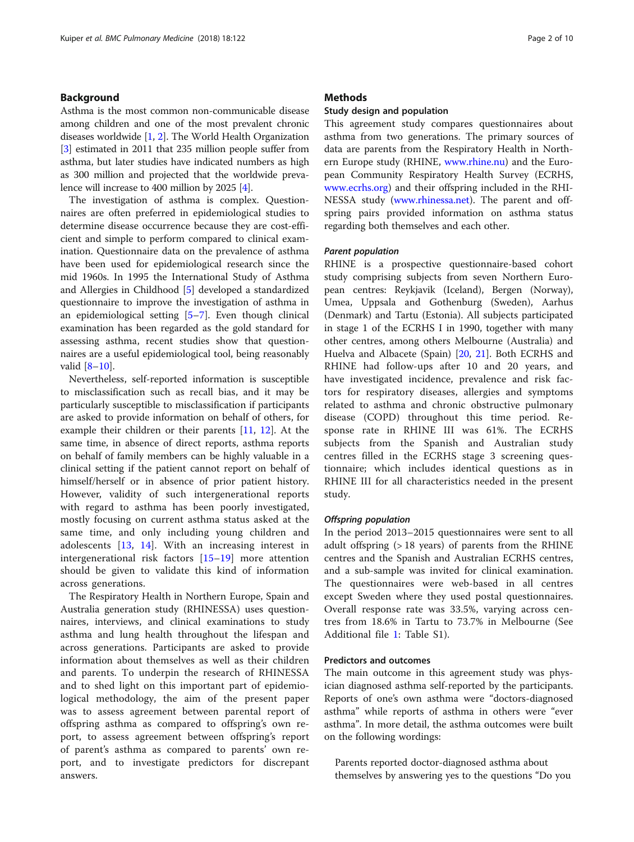#### Background

Asthma is the most common non-communicable disease among children and one of the most prevalent chronic diseases worldwide [[1](#page-9-0), [2](#page-9-0)]. The World Health Organization [[3\]](#page-9-0) estimated in 2011 that 235 million people suffer from asthma, but later studies have indicated numbers as high as 300 million and projected that the worldwide prevalence will increase to 400 million by 2025 [[4](#page-9-0)].

The investigation of asthma is complex. Questionnaires are often preferred in epidemiological studies to determine disease occurrence because they are cost-efficient and simple to perform compared to clinical examination. Questionnaire data on the prevalence of asthma have been used for epidemiological research since the mid 1960s. In 1995 the International Study of Asthma and Allergies in Childhood [[5\]](#page-9-0) developed a standardized questionnaire to improve the investigation of asthma in an epidemiological setting [\[5](#page-9-0)–[7](#page-9-0)]. Even though clinical examination has been regarded as the gold standard for assessing asthma, recent studies show that questionnaires are a useful epidemiological tool, being reasonably valid [\[8](#page-9-0)–[10\]](#page-9-0).

Nevertheless, self-reported information is susceptible to misclassification such as recall bias, and it may be particularly susceptible to misclassification if participants are asked to provide information on behalf of others, for example their children or their parents [\[11](#page-9-0), [12](#page-9-0)]. At the same time, in absence of direct reports, asthma reports on behalf of family members can be highly valuable in a clinical setting if the patient cannot report on behalf of himself/herself or in absence of prior patient history. However, validity of such intergenerational reports with regard to asthma has been poorly investigated, mostly focusing on current asthma status asked at the same time, and only including young children and adolescents [[13,](#page-9-0) [14\]](#page-9-0). With an increasing interest in intergenerational risk factors [[15](#page-9-0)–[19\]](#page-9-0) more attention should be given to validate this kind of information across generations.

The Respiratory Health in Northern Europe, Spain and Australia generation study (RHINESSA) uses questionnaires, interviews, and clinical examinations to study asthma and lung health throughout the lifespan and across generations. Participants are asked to provide information about themselves as well as their children and parents. To underpin the research of RHINESSA and to shed light on this important part of epidemiological methodology, the aim of the present paper was to assess agreement between parental report of offspring asthma as compared to offspring's own report, to assess agreement between offspring's report of parent's asthma as compared to parents' own report, and to investigate predictors for discrepant answers.

#### **Methods**

#### Study design and population

This agreement study compares questionnaires about asthma from two generations. The primary sources of data are parents from the Respiratory Health in Northern Europe study (RHINE, [www.rhine.nu\)](http://www.rhine.nu) and the European Community Respiratory Health Survey (ECRHS, [www.ecrhs.org\)](http://www.ecrhs.org) and their offspring included in the RHI-NESSA study [\(www.rhinessa.net](http://www.rhinessa.net)). The parent and offspring pairs provided information on asthma status regarding both themselves and each other.

RHINE is a prospective questionnaire-based cohort study comprising subjects from seven Northern European centres: Reykjavik (Iceland), Bergen (Norway), Umea, Uppsala and Gothenburg (Sweden), Aarhus (Denmark) and Tartu (Estonia). All subjects participated in stage 1 of the ECRHS I in 1990, together with many other centres, among others Melbourne (Australia) and Huelva and Albacete (Spain) [\[20,](#page-9-0) [21\]](#page-9-0). Both ECRHS and RHINE had follow-ups after 10 and 20 years, and have investigated incidence, prevalence and risk factors for respiratory diseases, allergies and symptoms related to asthma and chronic obstructive pulmonary disease (COPD) throughout this time period. Response rate in RHINE III was 61%. The ECRHS subjects from the Spanish and Australian study centres filled in the ECRHS stage 3 screening questionnaire; which includes identical questions as in RHINE III for all characteristics needed in the present study.

In the period 2013–2015 questionnaires were sent to all adult offspring (> 18 years) of parents from the RHINE centres and the Spanish and Australian ECRHS centres, and a sub-sample was invited for clinical examination. The questionnaires were web-based in all centres except Sweden where they used postal questionnaires. Overall response rate was 33.5%, varying across centres from 18.6% in Tartu to 73.7% in Melbourne (See Additional file [1](#page-8-0): Table S1).

#### Predictors and outcomes

The main outcome in this agreement study was physician diagnosed asthma self-reported by the participants. Reports of one's own asthma were "doctors-diagnosed asthma" while reports of asthma in others were "ever asthma". In more detail, the asthma outcomes were built on the following wordings:

Parents reported doctor-diagnosed asthma about themselves by answering yes to the questions "Do you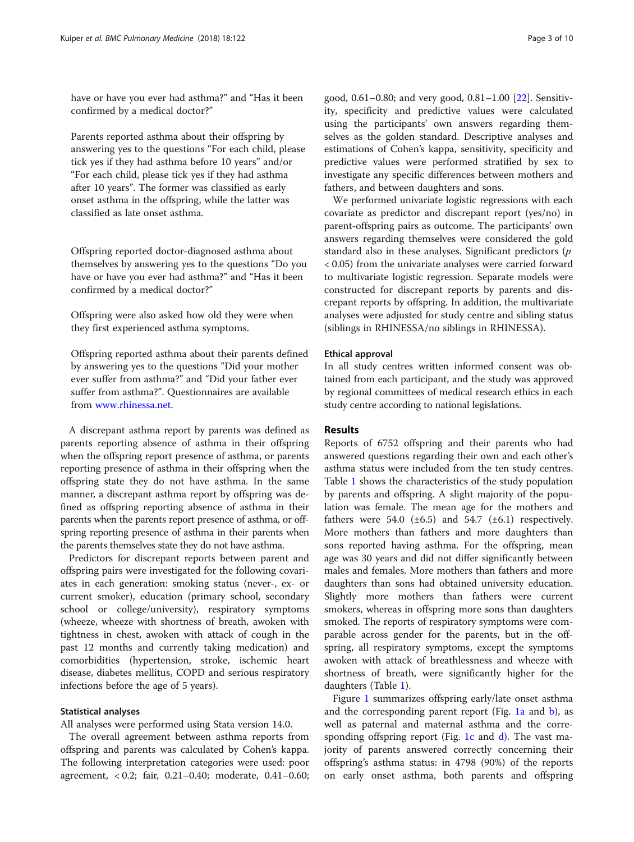have or have you ever had asthma?" and "Has it been confirmed by a medical doctor?"

Parents reported asthma about their offspring by answering yes to the questions "For each child, please tick yes if they had asthma before 10 years" and/or "For each child, please tick yes if they had asthma after 10 years". The former was classified as early onset asthma in the offspring, while the latter was classified as late onset asthma.

Offspring reported doctor-diagnosed asthma about themselves by answering yes to the questions "Do you have or have you ever had asthma?" and "Has it been confirmed by a medical doctor?"

Offspring were also asked how old they were when they first experienced asthma symptoms.

Offspring reported asthma about their parents defined by answering yes to the questions "Did your mother ever suffer from asthma?" and "Did your father ever suffer from asthma?". Questionnaires are available from [www.rhinessa.net.](http://www.rhinessa.net)

A discrepant asthma report by parents was defined as parents reporting absence of asthma in their offspring when the offspring report presence of asthma, or parents reporting presence of asthma in their offspring when the offspring state they do not have asthma. In the same manner, a discrepant asthma report by offspring was defined as offspring reporting absence of asthma in their parents when the parents report presence of asthma, or offspring reporting presence of asthma in their parents when the parents themselves state they do not have asthma.

Predictors for discrepant reports between parent and offspring pairs were investigated for the following covariates in each generation: smoking status (never-, ex- or current smoker), education (primary school, secondary school or college/university), respiratory symptoms (wheeze, wheeze with shortness of breath, awoken with tightness in chest, awoken with attack of cough in the past 12 months and currently taking medication) and comorbidities (hypertension, stroke, ischemic heart disease, diabetes mellitus, COPD and serious respiratory infections before the age of 5 years).

#### Statistical analyses

All analyses were performed using Stata version 14.0.

The overall agreement between asthma reports from offspring and parents was calculated by Cohen's kappa. The following interpretation categories were used: poor agreement, < 0.2; fair, 0.21–0.40; moderate, 0.41–0.60; good, 0.61–0.80; and very good, 0.81–1.00 [\[22](#page-9-0)]. Sensitivity, specificity and predictive values were calculated using the participants' own answers regarding themselves as the golden standard. Descriptive analyses and estimations of Cohen's kappa, sensitivity, specificity and predictive values were performed stratified by sex to investigate any specific differences between mothers and fathers, and between daughters and sons.

We performed univariate logistic regressions with each covariate as predictor and discrepant report (yes/no) in parent-offspring pairs as outcome. The participants' own answers regarding themselves were considered the gold standard also in these analyses. Significant predictors  $(p)$ < 0.05) from the univariate analyses were carried forward to multivariate logistic regression. Separate models were constructed for discrepant reports by parents and discrepant reports by offspring. In addition, the multivariate analyses were adjusted for study centre and sibling status (siblings in RHINESSA/no siblings in RHINESSA).

#### Ethical approval

In all study centres written informed consent was obtained from each participant, and the study was approved by regional committees of medical research ethics in each study centre according to national legislations.

#### Results

Reports of 6752 offspring and their parents who had answered questions regarding their own and each other's asthma status were included from the ten study centres. Table [1](#page-3-0) shows the characteristics of the study population by parents and offspring. A slight majority of the population was female. The mean age for the mothers and fathers were 54.0  $(\pm 6.5)$  and 54.7  $(\pm 6.1)$  respectively. More mothers than fathers and more daughters than sons reported having asthma. For the offspring, mean age was 30 years and did not differ significantly between males and females. More mothers than fathers and more daughters than sons had obtained university education. Slightly more mothers than fathers were current smokers, whereas in offspring more sons than daughters smoked. The reports of respiratory symptoms were comparable across gender for the parents, but in the offspring, all respiratory symptoms, except the symptoms awoken with attack of breathlessness and wheeze with shortness of breath, were significantly higher for the daughters (Table [1\)](#page-3-0).

Figure [1](#page-4-0) summarizes offspring early/late onset asthma and the corresponding parent report (Fig.  $1a$  and [b](#page-4-0)), as well as paternal and maternal asthma and the corre-sponding offspring report (Fig. [1c](#page-4-0) and  $d$ ). The vast majority of parents answered correctly concerning their offspring's asthma status: in 4798 (90%) of the reports on early onset asthma, both parents and offspring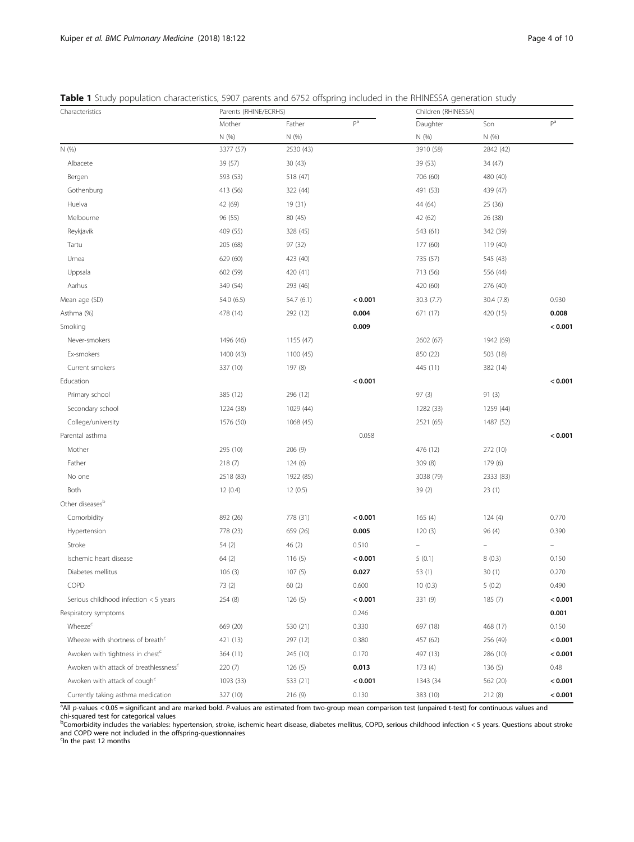| Characteristics                                   | Parents (RHINE/ECRHS) |            |         | Children (RHINESSA)      |                   |         |  |
|---------------------------------------------------|-----------------------|------------|---------|--------------------------|-------------------|---------|--|
|                                                   | Mother                | Father     | $P^a$   | Daughter                 | Son               | $P^a$   |  |
|                                                   | N (%)                 | N (%)      |         | N (%)                    | N (%)             |         |  |
| N(96)                                             | 3377 (57)             | 2530 (43)  |         | 3910 (58)                | 2842 (42)         |         |  |
| Albacete                                          | 39 (57)               | 30 (43)    |         | 39 (53)                  | 34 (47)           |         |  |
| Bergen                                            | 593 (53)              | 518 (47)   |         | 706 (60)                 | 480 (40)          |         |  |
| Gothenburg                                        | 413 (56)              | 322 (44)   |         | 491 (53)                 | 439 (47)          |         |  |
| Huelva                                            | 42 (69)               | 19 (31)    |         | 44 (64)                  | 25 (36)           |         |  |
| Melbourne                                         | 96 (55)               | 80 (45)    |         | 42 (62)                  | 26 (38)           |         |  |
| Reykjavik                                         | 409 (55)              | 328 (45)   |         | 543 (61)                 | 342 (39)          |         |  |
| Tartu                                             | 205 (68)              | 97 (32)    |         | 177 (60)                 | 119 (40)          |         |  |
| Umea                                              | 629 (60)              | 423 (40)   |         | 735 (57)                 | 545 (43)          |         |  |
| Uppsala                                           | 602 (59)              | 420 (41)   |         | 713 (56)                 | 556 (44)          |         |  |
| Aarhus                                            | 349 (54)              | 293 (46)   |         | 420 (60)                 | 276 (40)          |         |  |
| Mean age (SD)                                     | 54.0 (6.5)            | 54.7 (6.1) | < 0.001 | 30.3 (7.7)               | 30.4 (7.8)        | 0.930   |  |
| Asthma (%)                                        | 478 (14)              | 292 (12)   | 0.004   | 671 (17)                 | 420 (15)          | 0.008   |  |
| Smoking                                           |                       |            | 0.009   |                          |                   | < 0.001 |  |
| Never-smokers                                     | 1496 (46)             | 1155 (47)  |         | 2602 (67)                | 1942 (69)         |         |  |
| Ex-smokers                                        | 1400 (43)             | 1100 (45)  |         | 850 (22)                 | 503 (18)          |         |  |
| Current smokers                                   | 337 (10)              | 197 (8)    |         | 445 (11)                 | 382 (14)          |         |  |
| Education                                         |                       |            | < 0.001 |                          |                   | < 0.001 |  |
| Primary school                                    | 385 (12)              | 296 (12)   |         | 97 (3)                   | 91(3)             |         |  |
| Secondary school                                  | 1224 (38)             | 1029 (44)  |         | 1282 (33)                | 1259 (44)         |         |  |
| College/university                                | 1576 (50)             | 1068 (45)  |         | 2521 (65)                | 1487 (52)         |         |  |
| Parental asthma                                   |                       |            | 0.058   |                          |                   | < 0.001 |  |
| Mother                                            | 295 (10)              | 206 (9)    |         | 476 (12)                 | 272 (10)          |         |  |
| Father                                            | 218(7)                | 124(6)     |         | 309 (8)                  | 179 (6)           |         |  |
| No one                                            | 2518 (83)             | 1922 (85)  |         | 3038 (79)                | 2333 (83)         |         |  |
| Both                                              | 12(0.4)               | 12(0.5)    |         | 39(2)                    | 23(1)             |         |  |
| Other diseases <sup>b</sup>                       |                       |            |         |                          |                   |         |  |
| Comorbidity                                       | 892 (26)              | 778 (31)   | < 0.001 | 165(4)                   | 124(4)            | 0.770   |  |
| Hypertension                                      | 778 (23)              | 659 (26)   | 0.005   | 120(3)                   | 96 (4)            | 0.390   |  |
| Stroke                                            | 54 (2)                | 46 (2)     | 0.510   | $\overline{\phantom{0}}$ | $\qquad \qquad -$ |         |  |
| Ischemic heart disease                            | 64(2)                 | 116(5)     | < 0.001 | 5(0.1)                   | 8(0.3)            | 0.150   |  |
| Diabetes mellitus                                 | 106(3)                | 107(5)     | 0.027   | 53(1)                    | 30(1)             | 0.270   |  |
| <b>COPD</b>                                       | 73 (2)                | 60 (2)     | 0.600   | 10(0.3)                  | 5(0.2)            | 0.490   |  |
| Serious childhood infection < 5 years             | 254 (8)               | 126(5)     | < 0.001 | 331 (9)                  | 185(7)            | < 0.001 |  |
| Respiratory symptoms                              |                       |            | 0.246   |                          |                   | 0.001   |  |
| Wheeze <sup>c</sup>                               | 669 (20)              | 530 (21)   | 0.330   | 697 (18)                 | 468 (17)          | 0.150   |  |
| Wheeze with shortness of breath <sup>c</sup>      | 421 (13)              | 297 (12)   | 0.380   | 457 (62)                 | 256 (49)          | < 0.001 |  |
| Awoken with tightness in chest <sup>c</sup>       | 364 (11)              | 245 (10)   | 0.170   | 497 (13)                 | 286 (10)          | < 0.001 |  |
| Awoken with attack of breathlessness <sup>c</sup> | 220 (7)               | 126(5)     | 0.013   | 173 (4)                  | 136(5)            | 0.48    |  |
| Awoken with attack of cough <sup>c</sup>          | 1093 (33)             | 533 (21)   | < 0.001 | 1343 (34                 | 562 (20)          | < 0.001 |  |
| Currently taking asthma medication                | 327 (10)              | 216 (9)    | 0.130   | 383 (10)                 | 212(8)            | < 0.001 |  |

<span id="page-3-0"></span>

|  | <b>Table 1</b> Study population characteristics, 5907 parents and 6752 offspring included in the RHINESSA generation study |  |  |  |
|--|----------------------------------------------------------------------------------------------------------------------------|--|--|--|
|  |                                                                                                                            |  |  |  |

<sup>a</sup>All *p*-values < 0.05 = significant and are marked bold. *P*-values are estimated from two-group mean comparison test (unpaired t-test) for continuous values and<br>chi-squared test for categorical values<br><sup>b</sup>Comorbidity in

<sup>c</sup>In the past 12 months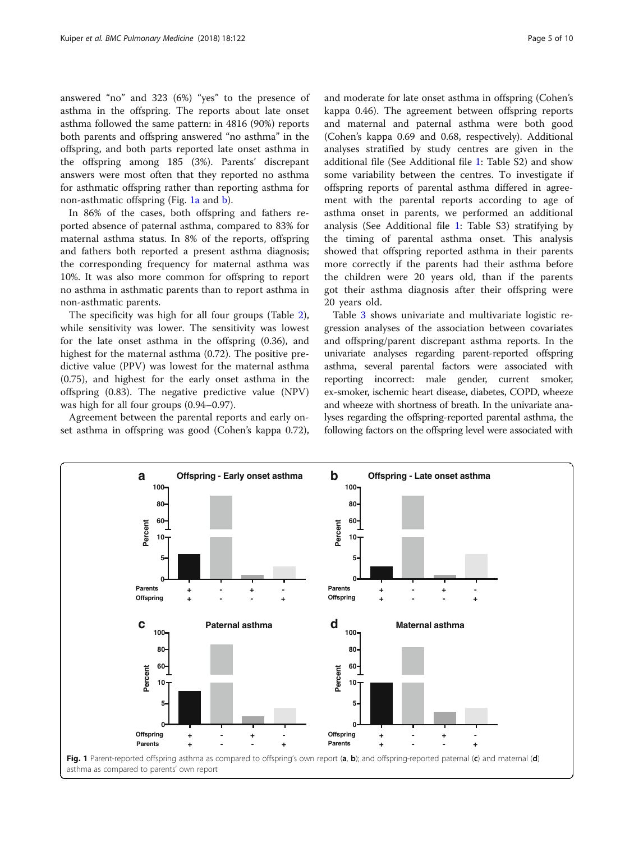<span id="page-4-0"></span>answered "no" and 323 (6%) "yes" to the presence of asthma in the offspring. The reports about late onset asthma followed the same pattern: in 4816 (90%) reports both parents and offspring answered "no asthma" in the offspring, and both parts reported late onset asthma in the offspring among 185 (3%). Parents' discrepant answers were most often that they reported no asthma for asthmatic offspring rather than reporting asthma for non-asthmatic offspring (Fig. 1a and b).

In 86% of the cases, both offspring and fathers reported absence of paternal asthma, compared to 83% for maternal asthma status. In 8% of the reports, offspring and fathers both reported a present asthma diagnosis; the corresponding frequency for maternal asthma was 10%. It was also more common for offspring to report no asthma in asthmatic parents than to report asthma in non-asthmatic parents.

The specificity was high for all four groups (Table [2](#page-5-0)), while sensitivity was lower. The sensitivity was lowest for the late onset asthma in the offspring (0.36), and highest for the maternal asthma (0.72). The positive predictive value (PPV) was lowest for the maternal asthma (0.75), and highest for the early onset asthma in the offspring (0.83). The negative predictive value (NPV) was high for all four groups (0.94–0.97).

Agreement between the parental reports and early onset asthma in offspring was good (Cohen's kappa 0.72), and moderate for late onset asthma in offspring (Cohen's kappa 0.46). The agreement between offspring reports and maternal and paternal asthma were both good (Cohen's kappa 0.69 and 0.68, respectively). Additional analyses stratified by study centres are given in the additional file (See Additional file [1:](#page-8-0) Table S2) and show some variability between the centres. To investigate if offspring reports of parental asthma differed in agreement with the parental reports according to age of asthma onset in parents, we performed an additional analysis (See Additional file [1](#page-8-0): Table S3) stratifying by the timing of parental asthma onset. This analysis showed that offspring reported asthma in their parents more correctly if the parents had their asthma before the children were 20 years old, than if the parents got their asthma diagnosis after their offspring were 20 years old.

Table [3](#page-6-0) shows univariate and multivariate logistic regression analyses of the association between covariates and offspring/parent discrepant asthma reports. In the univariate analyses regarding parent-reported offspring asthma, several parental factors were associated with reporting incorrect: male gender, current smoker, ex-smoker, ischemic heart disease, diabetes, COPD, wheeze and wheeze with shortness of breath. In the univariate analyses regarding the offspring-reported parental asthma, the following factors on the offspring level were associated with

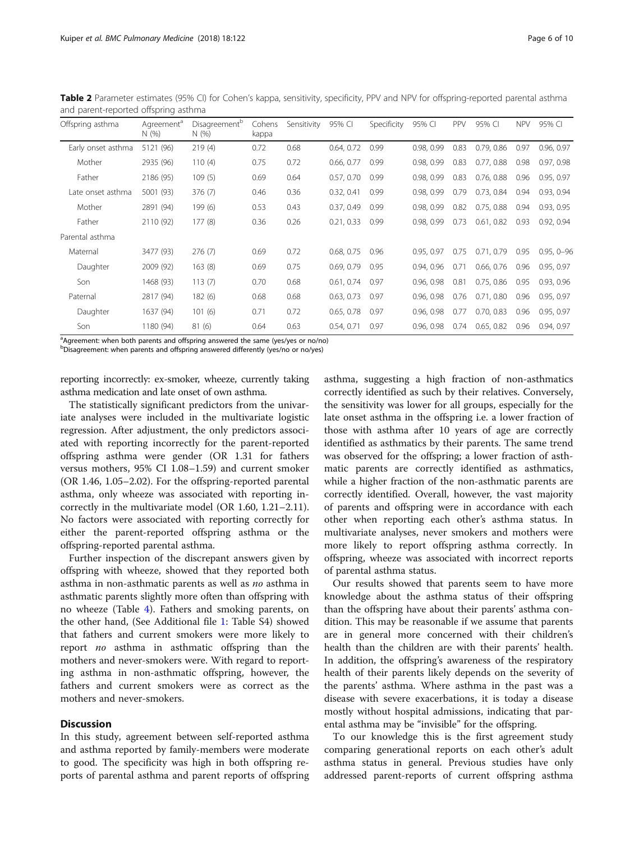| Offspring asthma   | Agreement <sup>a</sup><br>N(%) | Disagreement <sup>b</sup><br>N(% | Cohens<br>kappa | Sensitivity | 95% CI     | Specificity | 95% CI     | PPV  | 95% CI     | <b>NPV</b> | 95% CI         |
|--------------------|--------------------------------|----------------------------------|-----------------|-------------|------------|-------------|------------|------|------------|------------|----------------|
| Early onset asthma | 5121 (96)                      | 219(4)                           | 0.72            | 0.68        | 0.64, 0.72 | 0.99        | 0.98, 0.99 | 0.83 | 0.79, 0.86 | 0.97       | 0.96, 0.97     |
| Mother             | 2935 (96)                      | 110(4)                           | 0.75            | 0.72        | 0.66, 0.77 | 0.99        | 0.98, 0.99 | 0.83 | 0.77, 0.88 | 0.98       | 0.97, 0.98     |
| Father             | 2186 (95)                      | 109(5)                           | 0.69            | 0.64        | 0.57, 0.70 | 0.99        | 0.98, 0.99 | 0.83 | 0.76, 0.88 | 0.96       | 0.95, 0.97     |
| Late onset asthma  | 5001 (93)                      | 376(7)                           | 0.46            | 0.36        | 0.32, 0.41 | 0.99        | 0.98.0.99  | 0.79 | 0.73, 0.84 | 0.94       | 0.93, 0.94     |
| Mother             | 2891 (94)                      | 199 (6)                          | 0.53            | 0.43        | 0.37, 0.49 | 0.99        | 0.98, 0.99 | 0.82 | 0.75, 0.88 | 0.94       | 0.93, 0.95     |
| Father             | 2110 (92)                      | 177(8)                           | 0.36            | 0.26        | 0.21, 0.33 | 0.99        | 0.98.0.99  | 0.73 | 0.61, 0.82 | 0.93       | 0.92, 0.94     |
| Parental asthma    |                                |                                  |                 |             |            |             |            |      |            |            |                |
| Maternal           | 3477 (93)                      | 276(7)                           | 0.69            | 0.72        | 0.68, 0.75 | 0.96        | 0.95.0.97  | 0.75 | 0.71.0.79  | 0.95       | $0.95, 0 - 96$ |
| Daughter           | 2009 (92)                      | 163(8)                           | 0.69            | 0.75        | 0.69, 0.79 | 0.95        | 0.94.0.96  | 0.71 | 0.66, 0.76 | 0.96       | 0.95, 0.97     |
| Son                | 1468 (93)                      | 113(7)                           | 0.70            | 0.68        | 0.61, 0.74 | 0.97        | 0.96.0.98  | 0.81 | 0.75.0.86  | 0.95       | 0.93.0.96      |
| Paternal           | 2817 (94)                      | 182(6)                           | 0.68            | 0.68        | 0.63, 0.73 | 0.97        | 0.96.0.98  | 0.76 | 0.71, 0.80 | 0.96       | 0.95, 0.97     |
| Daughter           | 1637 (94)                      | 101(6)                           | 0.71            | 0.72        | 0.65, 0.78 | 0.97        | 0.96, 0.98 | 0.77 | 0.70.0.83  | 0.96       | 0.95, 0.97     |
| Son                | 1180 (94)                      | 81(6)                            | 0.64            | 0.63        | 0.54.0.71  | 0.97        | 0.96, 0.98 | 0.74 | 0.65.0.82  | 0.96       | 0.94, 0.97     |

<span id="page-5-0"></span>Table 2 Parameter estimates (95% CI) for Cohen's kappa, sensitivity, specificity, PPV and NPV for offspring-reported parental asthma and parent-reported offspring asthma

<sup>a</sup>Agreement: when both parents and offspring answered the same (yes/yes or no/no)

b<br>Disagreement: when parents and offspring answered differently (yes/no or no/yes)

reporting incorrectly: ex-smoker, wheeze, currently taking asthma medication and late onset of own asthma.

The statistically significant predictors from the univariate analyses were included in the multivariate logistic regression. After adjustment, the only predictors associated with reporting incorrectly for the parent-reported offspring asthma were gender (OR 1.31 for fathers versus mothers, 95% CI 1.08–1.59) and current smoker (OR 1.46, 1.05–2.02). For the offspring-reported parental asthma, only wheeze was associated with reporting incorrectly in the multivariate model (OR 1.60, 1.21–2.11). No factors were associated with reporting correctly for either the parent-reported offspring asthma or the offspring-reported parental asthma.

Further inspection of the discrepant answers given by offspring with wheeze, showed that they reported both asthma in non-asthmatic parents as well as no asthma in asthmatic parents slightly more often than offspring with no wheeze (Table [4\)](#page-7-0). Fathers and smoking parents, on the other hand, (See Additional file [1](#page-8-0): Table S4) showed that fathers and current smokers were more likely to report no asthma in asthmatic offspring than the mothers and never-smokers were. With regard to reporting asthma in non-asthmatic offspring, however, the fathers and current smokers were as correct as the mothers and never-smokers.

#### **Discussion**

In this study, agreement between self-reported asthma and asthma reported by family-members were moderate to good. The specificity was high in both offspring reports of parental asthma and parent reports of offspring asthma, suggesting a high fraction of non-asthmatics correctly identified as such by their relatives. Conversely, the sensitivity was lower for all groups, especially for the late onset asthma in the offspring i.e. a lower fraction of those with asthma after 10 years of age are correctly identified as asthmatics by their parents. The same trend was observed for the offspring; a lower fraction of asthmatic parents are correctly identified as asthmatics, while a higher fraction of the non-asthmatic parents are correctly identified. Overall, however, the vast majority of parents and offspring were in accordance with each other when reporting each other's asthma status. In multivariate analyses, never smokers and mothers were more likely to report offspring asthma correctly. In offspring, wheeze was associated with incorrect reports of parental asthma status.

Our results showed that parents seem to have more knowledge about the asthma status of their offspring than the offspring have about their parents' asthma condition. This may be reasonable if we assume that parents are in general more concerned with their children's health than the children are with their parents' health. In addition, the offspring's awareness of the respiratory health of their parents likely depends on the severity of the parents' asthma. Where asthma in the past was a disease with severe exacerbations, it is today a disease mostly without hospital admissions, indicating that parental asthma may be "invisible" for the offspring.

To our knowledge this is the first agreement study comparing generational reports on each other's adult asthma status in general. Previous studies have only addressed parent-reports of current offspring asthma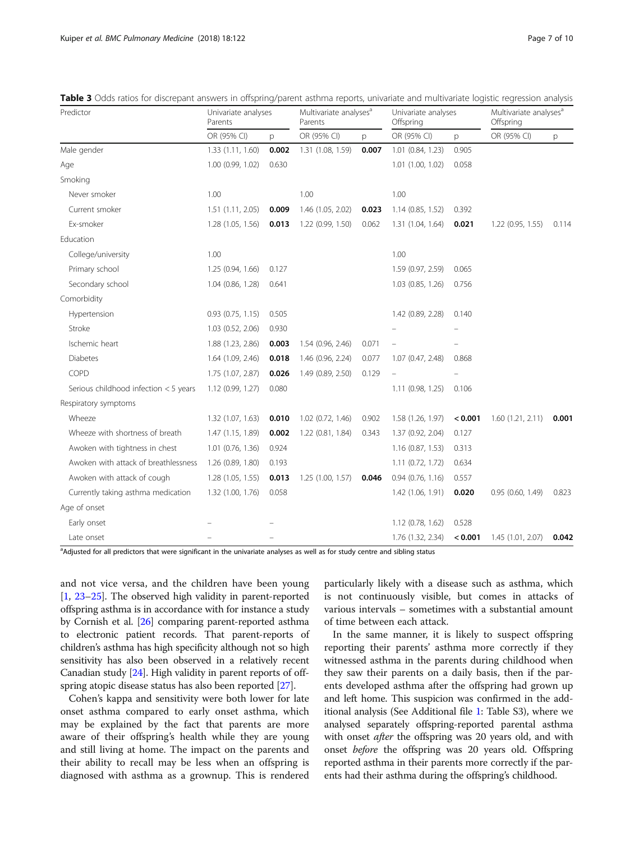| Predictor                             | Univariate analyses<br>Parents |       | Multivariate analyses <sup>a</sup><br>Parents |       | Univariate analyses<br>Offspring | Multivariate analyses <sup>a</sup><br>Offspring |                   |       |  |
|---------------------------------------|--------------------------------|-------|-----------------------------------------------|-------|----------------------------------|-------------------------------------------------|-------------------|-------|--|
|                                       | OR (95% CI)                    | p     | OR (95% CI)                                   | p     | OR (95% CI)                      | p                                               | OR (95% CI)       | p     |  |
| Male gender                           | 1.33(1.11, 1.60)               | 0.002 | 1.31 (1.08, 1.59)                             | 0.007 | 1.01 (0.84, 1.23)                | 0.905                                           |                   |       |  |
| Age                                   | 1.00 (0.99, 1.02)              | 0.630 |                                               |       | $1.01$ $(1.00, 1.02)$            | 0.058                                           |                   |       |  |
| Smoking                               |                                |       |                                               |       |                                  |                                                 |                   |       |  |
| Never smoker                          | 1.00                           |       | 1.00                                          |       | 1.00                             |                                                 |                   |       |  |
| Current smoker                        | 1.51(1.11, 2.05)               | 0.009 | 1.46 (1.05, 2.02)                             | 0.023 | 1.14(0.85, 1.52)                 | 0.392                                           |                   |       |  |
| Ex-smoker                             | 1.28 (1.05, 1.56)              | 0.013 | 1.22 (0.99, 1.50)                             | 0.062 | 1.31 (1.04, 1.64)                | 0.021                                           | 1.22 (0.95, 1.55) | 0.114 |  |
| Education                             |                                |       |                                               |       |                                  |                                                 |                   |       |  |
| College/university                    | 1.00                           |       |                                               |       | 1.00                             |                                                 |                   |       |  |
| Primary school                        | 1.25 (0.94, 1.66)              | 0.127 |                                               |       | 1.59 (0.97, 2.59)                | 0.065                                           |                   |       |  |
| Secondary school                      | 1.04 (0.86, 1.28)              | 0.641 |                                               |       | 1.03 (0.85, 1.26)                | 0.756                                           |                   |       |  |
| Comorbidity                           |                                |       |                                               |       |                                  |                                                 |                   |       |  |
| Hypertension                          | $0.93$ $(0.75, 1.15)$          | 0.505 |                                               |       | 1.42 (0.89, 2.28)                | 0.140                                           |                   |       |  |
| Stroke                                | 1.03 (0.52, 2.06)              | 0.930 |                                               |       |                                  |                                                 |                   |       |  |
| Ischemic heart                        | 1.88 (1.23, 2.86)              | 0.003 | 1.54 (0.96, 2.46)                             | 0.071 |                                  |                                                 |                   |       |  |
| <b>Diabetes</b>                       | 1.64 (1.09, 2.46)              | 0.018 | 1.46 (0.96, 2.24)                             | 0.077 | 1.07 (0.47, 2.48)                | 0.868                                           |                   |       |  |
| COPD                                  | 1.75 (1.07, 2.87)              | 0.026 | 1.49 (0.89, 2.50)                             | 0.129 |                                  |                                                 |                   |       |  |
| Serious childhood infection < 5 years | 1.12 (0.99, 1.27)              | 0.080 |                                               |       | 1.11 (0.98, 1.25)                | 0.106                                           |                   |       |  |
| Respiratory symptoms                  |                                |       |                                               |       |                                  |                                                 |                   |       |  |
| Wheeze                                | 1.32 (1.07, 1.63)              | 0.010 | 1.02 (0.72, 1.46)                             | 0.902 | 1.58 (1.26, 1.97)                | < 0.001                                         | 1.60(1.21, 2.11)  | 0.001 |  |
| Wheeze with shortness of breath       | 1.47 (1.15, 1.89)              | 0.002 | 1.22 (0.81, 1.84)                             | 0.343 | 1.37 (0.92, 2.04)                | 0.127                                           |                   |       |  |
| Awoken with tightness in chest        | 1.01 (0.76, 1.36)              | 0.924 |                                               |       | 1.16(0.87, 1.53)                 | 0.313                                           |                   |       |  |
| Awoken with attack of breathlessness  | 1.26 (0.89, 1.80)              | 0.193 |                                               |       | 1.11(0.72, 1.72)                 | 0.634                                           |                   |       |  |
| Awoken with attack of cough           | 1.28 (1.05, 1.55)              | 0.013 | 1.25 (1.00, 1.57)                             | 0.046 | 0.94(0.76, 1.16)                 | 0.557                                           |                   |       |  |
| Currently taking asthma medication    | 1.32 (1.00, 1.76)              | 0.058 |                                               |       | 1.42 (1.06, 1.91)                | 0.020                                           | 0.95(0.60, 1.49)  | 0.823 |  |
| Age of onset                          |                                |       |                                               |       |                                  |                                                 |                   |       |  |
| Early onset                           |                                |       |                                               |       | 1.12 (0.78, 1.62)                | 0.528                                           |                   |       |  |
| Late onset                            |                                |       |                                               |       | 1.76 (1.32, 2.34)                | < 0.001                                         | 1.45 (1.01, 2.07) | 0.042 |  |

<span id="page-6-0"></span>Table 3 Odds ratios for discrepant answers in offspring/parent asthma reports, univariate and multivariate logistic regression analysis

<sup>a</sup>Adjusted for all predictors that were significant in the univariate analyses as well as for study centre and sibling status

and not vice versa, and the children have been young [[1,](#page-9-0) [23](#page-9-0)–[25](#page-9-0)]. The observed high validity in parent-reported offspring asthma is in accordance with for instance a study by Cornish et al. [[26\]](#page-9-0) comparing parent-reported asthma to electronic patient records. That parent-reports of children's asthma has high specificity although not so high sensitivity has also been observed in a relatively recent Canadian study [\[24](#page-9-0)]. High validity in parent reports of offspring atopic disease status has also been reported [\[27\]](#page-9-0).

Cohen's kappa and sensitivity were both lower for late onset asthma compared to early onset asthma, which may be explained by the fact that parents are more aware of their offspring's health while they are young and still living at home. The impact on the parents and their ability to recall may be less when an offspring is diagnosed with asthma as a grownup. This is rendered

particularly likely with a disease such as asthma, which is not continuously visible, but comes in attacks of various intervals – sometimes with a substantial amount of time between each attack.

In the same manner, it is likely to suspect offspring reporting their parents' asthma more correctly if they witnessed asthma in the parents during childhood when they saw their parents on a daily basis, then if the parents developed asthma after the offspring had grown up and left home. This suspicion was confirmed in the additional analysis (See Additional file [1:](#page-8-0) Table S3), where we analysed separately offspring-reported parental asthma with onset *after* the offspring was 20 years old, and with onset before the offspring was 20 years old. Offspring reported asthma in their parents more correctly if the parents had their asthma during the offspring's childhood.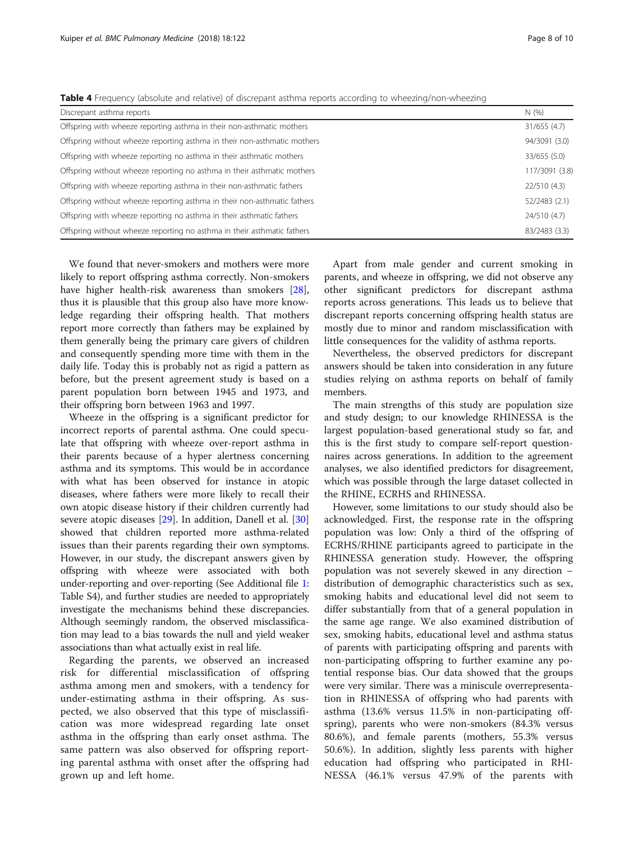<span id="page-7-0"></span>Table 4 Frequency (absolute and relative) of discrepant asthma reports according to wheezing/non-wheezing

| Discrepant asthma reports                                                | N(%            |
|--------------------------------------------------------------------------|----------------|
| Offspring with wheeze reporting asthma in their non-asthmatic mothers    | 31/655 (4.7)   |
| Offspring without wheeze reporting asthma in their non-asthmatic mothers | 94/3091 (3.0)  |
| Offspring with wheeze reporting no asthma in their asthmatic mothers     | 33/655 (5.0)   |
| Offspring without wheeze reporting no asthma in their asthmatic mothers  | 117/3091 (3.8) |
| Offspring with wheeze reporting asthma in their non-asthmatic fathers    | 22/510 (4.3)   |
| Offspring without wheeze reporting asthma in their non-asthmatic fathers | 52/2483 (2.1)  |
| Offspring with wheeze reporting no asthma in their asthmatic fathers     | 24/510 (4.7)   |
| Offspring without wheeze reporting no asthma in their asthmatic fathers  | 83/2483 (3.3)  |

We found that never-smokers and mothers were more likely to report offspring asthma correctly. Non-smokers have higher health-risk awareness than smokers [\[28](#page-9-0)], thus it is plausible that this group also have more knowledge regarding their offspring health. That mothers report more correctly than fathers may be explained by them generally being the primary care givers of children and consequently spending more time with them in the daily life. Today this is probably not as rigid a pattern as before, but the present agreement study is based on a parent population born between 1945 and 1973, and their offspring born between 1963 and 1997.

Wheeze in the offspring is a significant predictor for incorrect reports of parental asthma. One could speculate that offspring with wheeze over-report asthma in their parents because of a hyper alertness concerning asthma and its symptoms. This would be in accordance with what has been observed for instance in atopic diseases, where fathers were more likely to recall their own atopic disease history if their children currently had severe atopic diseases [\[29\]](#page-9-0). In addition, Danell et al. [[30](#page-9-0)] showed that children reported more asthma-related issues than their parents regarding their own symptoms. However, in our study, the discrepant answers given by offspring with wheeze were associated with both under-reporting and over-reporting (See Additional file [1](#page-8-0): Table S4), and further studies are needed to appropriately investigate the mechanisms behind these discrepancies. Although seemingly random, the observed misclassification may lead to a bias towards the null and yield weaker associations than what actually exist in real life.

Regarding the parents, we observed an increased risk for differential misclassification of offspring asthma among men and smokers, with a tendency for under-estimating asthma in their offspring. As suspected, we also observed that this type of misclassification was more widespread regarding late onset asthma in the offspring than early onset asthma. The same pattern was also observed for offspring reporting parental asthma with onset after the offspring had grown up and left home.

Apart from male gender and current smoking in parents, and wheeze in offspring, we did not observe any other significant predictors for discrepant asthma reports across generations. This leads us to believe that discrepant reports concerning offspring health status are mostly due to minor and random misclassification with little consequences for the validity of asthma reports.

Nevertheless, the observed predictors for discrepant answers should be taken into consideration in any future studies relying on asthma reports on behalf of family members.

The main strengths of this study are population size and study design; to our knowledge RHINESSA is the largest population-based generational study so far, and this is the first study to compare self-report questionnaires across generations. In addition to the agreement analyses, we also identified predictors for disagreement, which was possible through the large dataset collected in the RHINE, ECRHS and RHINESSA.

However, some limitations to our study should also be acknowledged. First, the response rate in the offspring population was low: Only a third of the offspring of ECRHS/RHINE participants agreed to participate in the RHINESSA generation study. However, the offspring population was not severely skewed in any direction – distribution of demographic characteristics such as sex, smoking habits and educational level did not seem to differ substantially from that of a general population in the same age range. We also examined distribution of sex, smoking habits, educational level and asthma status of parents with participating offspring and parents with non-participating offspring to further examine any potential response bias. Our data showed that the groups were very similar. There was a miniscule overrepresentation in RHINESSA of offspring who had parents with asthma (13.6% versus 11.5% in non-participating offspring), parents who were non-smokers (84.3% versus 80.6%), and female parents (mothers, 55.3% versus 50.6%). In addition, slightly less parents with higher education had offspring who participated in RHI-NESSA (46.1% versus 47.9% of the parents with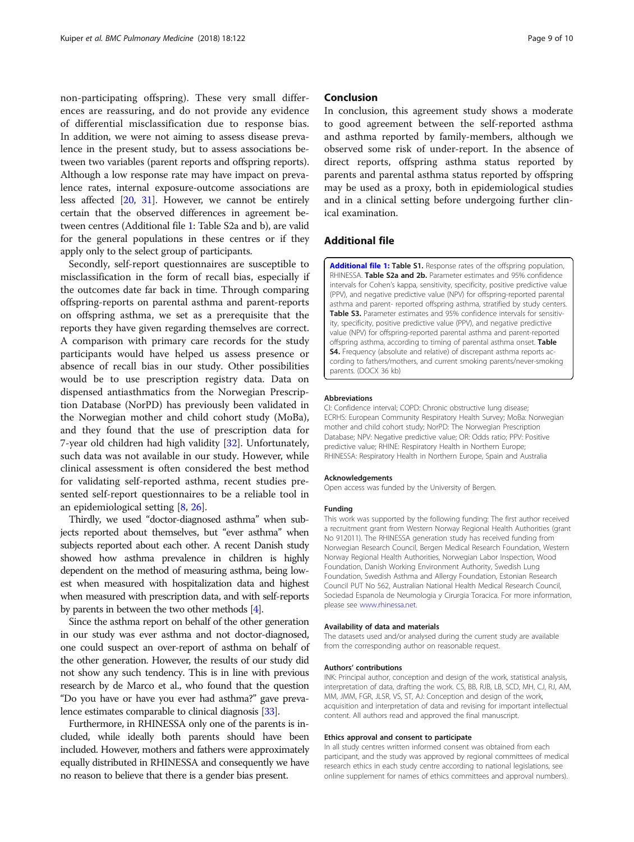<span id="page-8-0"></span>non-participating offspring). These very small differences are reassuring, and do not provide any evidence of differential misclassification due to response bias. In addition, we were not aiming to assess disease prevalence in the present study, but to assess associations between two variables (parent reports and offspring reports). Although a low response rate may have impact on prevalence rates, internal exposure-outcome associations are less affected [\[20,](#page-9-0) [31\]](#page-9-0). However, we cannot be entirely certain that the observed differences in agreement between centres (Additional file 1: Table S2a and b), are valid for the general populations in these centres or if they apply only to the select group of participants.

Secondly, self-report questionnaires are susceptible to misclassification in the form of recall bias, especially if the outcomes date far back in time. Through comparing offspring-reports on parental asthma and parent-reports on offspring asthma, we set as a prerequisite that the reports they have given regarding themselves are correct. A comparison with primary care records for the study participants would have helped us assess presence or absence of recall bias in our study. Other possibilities would be to use prescription registry data. Data on dispensed antiasthmatics from the Norwegian Prescription Database (NorPD) has previously been validated in the Norwegian mother and child cohort study (MoBa), and they found that the use of prescription data for 7-year old children had high validity [[32\]](#page-9-0). Unfortunately, such data was not available in our study. However, while clinical assessment is often considered the best method for validating self-reported asthma, recent studies presented self-report questionnaires to be a reliable tool in an epidemiological setting [[8,](#page-9-0) [26](#page-9-0)].

Thirdly, we used "doctor-diagnosed asthma" when subjects reported about themselves, but "ever asthma" when subjects reported about each other. A recent Danish study showed how asthma prevalence in children is highly dependent on the method of measuring asthma, being lowest when measured with hospitalization data and highest when measured with prescription data, and with self-reports by parents in between the two other methods [\[4\]](#page-9-0).

Since the asthma report on behalf of the other generation in our study was ever asthma and not doctor-diagnosed, one could suspect an over-report of asthma on behalf of the other generation. However, the results of our study did not show any such tendency. This is in line with previous research by de Marco et al., who found that the question "Do you have or have you ever had asthma?" gave prevalence estimates comparable to clinical diagnosis [\[33\]](#page-9-0).

Furthermore, in RHINESSA only one of the parents is included, while ideally both parents should have been included. However, mothers and fathers were approximately equally distributed in RHINESSA and consequently we have no reason to believe that there is a gender bias present.

#### Conclusion

In conclusion, this agreement study shows a moderate to good agreement between the self-reported asthma and asthma reported by family-members, although we observed some risk of under-report. In the absence of direct reports, offspring asthma status reported by parents and parental asthma status reported by offspring may be used as a proxy, both in epidemiological studies and in a clinical setting before undergoing further clinical examination.

#### Additional file

[Additional file 1:](https://doi.org/10.1186/s12890-018-0687-4) Table S1. Response rates of the offspring population, RHINESSA. Table S2a and 2b. Parameter estimates and 95% confidence intervals for Cohen's kappa, sensitivity, specificity, positive predictive value (PPV), and negative predictive value (NPV) for offspring-reported parental asthma and parent- reported offspring asthma, stratified by study centers. Table S3. Parameter estimates and 95% confidence intervals for sensitivity, specificity, positive predictive value (PPV), and negative predictive value (NPV) for offspring-reported parental asthma and parent-reported offspring asthma, according to timing of parental asthma onset. Table S4. Frequency (absolute and relative) of discrepant asthma reports according to fathers/mothers, and current smoking parents/never-smoking parents. (DOCX 36 kb)

#### Abbreviations

CI: Confidence interval; COPD: Chronic obstructive lung disease; ECRHS: European Community Respiratory Health Survey; MoBa: Norwegian mother and child cohort study; NorPD: The Norwegian Prescription Database; NPV: Negative predictive value; OR: Odds ratio; PPV: Positive predictive value; RHINE: Respiratory Health in Northern Europe; RHINESSA: Respiratory Health in Northern Europe, Spain and Australia

#### Acknowledgements

Open access was funded by the University of Bergen.

#### Funding

This work was supported by the following funding: The first author received a recruitment grant from Western Norway Regional Health Authorities (grant No 912011). The RHINESSA generation study has received funding from Norwegian Research Council, Bergen Medical Research Foundation, Western Norway Regional Health Authorities, Norwegian Labor Inspection, Wood Foundation, Danish Working Environment Authority, Swedish Lung Foundation, Swedish Asthma and Allergy Foundation, Estonian Research Council PUT No 562, Australian National Health Medical Research Council, Sociedad Espanola de Neumologia y Cirurgia Toracica. For more information, please see [www.rhinessa.net.](http://www.rhinessa.net)

#### Availability of data and materials

The datasets used and/or analysed during the current study are available from the corresponding author on reasonable request.

#### Authors' contributions

INK: Principal author, conception and design of the work, statistical analysis, interpretation of data, drafting the work. CS, BB, RJB, LB, SCD, MH, CJ, RJ, AM, MM, JMM, FGR, JLSR, VS, ST, AJ: Conception and design of the work acquisition and interpretation of data and revising for important intellectual content. All authors read and approved the final manuscript.

#### Ethics approval and consent to participate

In all study centres written informed consent was obtained from each participant, and the study was approved by regional committees of medical research ethics in each study centre according to national legislations, see online supplement for names of ethics committees and approval numbers).